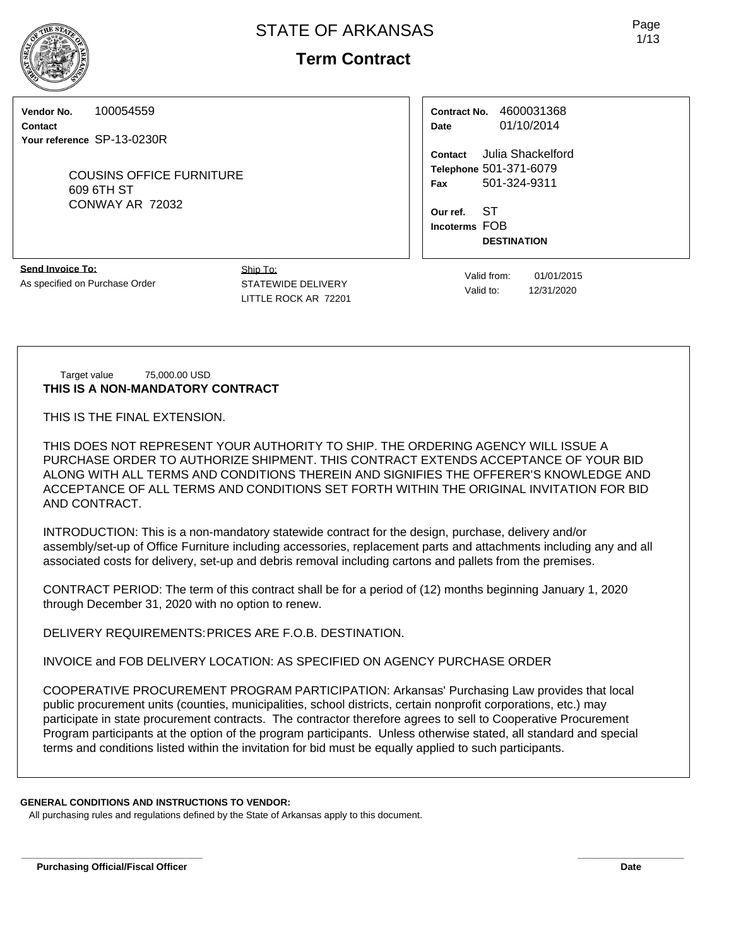# **Term Contract**

**Vendor No.** 100054559

**Contact Your reference** SP-13-0230R

> COUSINS OFFICE FURNITURE 609 6TH ST CONWAY AR 72032

**Contract No.** 4600031368 **Date** 01/10/2014

**Contact** Julia Shackelford **Telephone** 501-371-6079 **Fax** 501-324-9311

**Our ref.** ST **Incoterms** FOB **DESTINATION**

**Send Invoice To:** As specified on Purchase Order Ship To: STATEWIDE DELIVERY LITTLE ROCK AR 72201

Valid from: 01/01/2015 Valid to: 12/31/2020

Target value 75,000.00 USD **THIS IS A NON-MANDATORY CONTRACT**

THIS IS THE FINAL EXTENSION.

THIS DOES NOT REPRESENT YOUR AUTHORITY TO SHIP. THE ORDERING AGENCY WILL ISSUE A PURCHASE ORDER TO AUTHORIZE SHIPMENT. THIS CONTRACT EXTENDS ACCEPTANCE OF YOUR BID ALONG WITH ALL TERMS AND CONDITIONS THEREIN AND SIGNIFIES THE OFFERER'S KNOWLEDGE AND ACCEPTANCE OF ALL TERMS AND CONDITIONS SET FORTH WITHIN THE ORIGINAL INVITATION FOR BID AND CONTRACT.

INTRODUCTION: This is a non-mandatory statewide contract for the design, purchase, delivery and/or assembly/set-up of Office Furniture including accessories, replacement parts and attachments including any and all associated costs for delivery, set-up and debris removal including cartons and pallets from the premises.

CONTRACT PERIOD: The term of this contract shall be for a period of (12) months beginning January 1, 2020 through December 31, 2020 with no option to renew.

DELIVERY REQUIREMENTS:PRICES ARE F.O.B. DESTINATION.

INVOICE and FOB DELIVERY LOCATION: AS SPECIFIED ON AGENCY PURCHASE ORDER

COOPERATIVE PROCUREMENT PROGRAM PARTICIPATION: Arkansas' Purchasing Law provides that local public procurement units (counties, municipalities, school districts, certain nonprofit corporations, etc.) may participate in state procurement contracts. The contractor therefore agrees to sell to Cooperative Procurement Program participants at the option of the program participants. Unless otherwise stated, all standard and special terms and conditions listed within the invitation for bid must be equally applied to such participants.

**\_\_\_\_\_\_\_\_\_\_\_\_\_\_\_\_\_\_\_\_\_\_\_\_\_\_\_\_\_\_\_\_\_\_ \_\_\_\_\_\_\_\_\_\_\_\_\_\_\_\_\_\_\_\_**

## **GENERAL CONDITIONS AND INSTRUCTIONS TO VENDOR:**

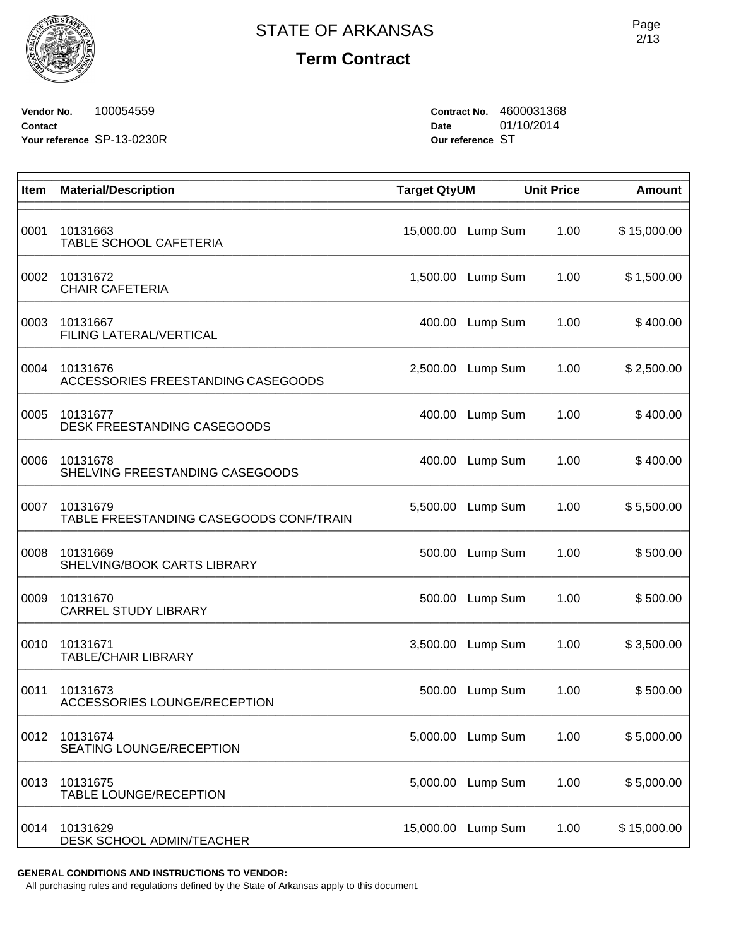**Term Contract**

**Vendor No.** 100054559 **Contact Your reference** SP-13-0230R **Contract No.** 4600031368 **Date** 01/10/2014 **Our reference** ST

| Item | <b>Material/Description</b>                         | <b>Target QtyUM</b> |          | <b>Unit Price</b> | <b>Amount</b> |
|------|-----------------------------------------------------|---------------------|----------|-------------------|---------------|
| 0001 | 10131663<br>TABLE SCHOOL CAFETERIA                  | 15,000.00           | Lump Sum | 1.00              | \$15,000.00   |
| 0002 | 10131672<br><b>CHAIR CAFETERIA</b>                  | 1,500.00            | Lump Sum | 1.00              | \$1,500.00    |
| 0003 | 10131667<br>FILING LATERAL/VERTICAL                 | 400.00              | Lump Sum | 1.00              | \$400.00      |
| 0004 | 10131676<br>ACCESSORIES FREESTANDING CASEGOODS      | 2,500.00            | Lump Sum | 1.00              | \$2,500.00    |
| 0005 | 10131677<br>DESK FREESTANDING CASEGOODS             | 400.00              | Lump Sum | 1.00              | \$400.00      |
| 0006 | 10131678<br>SHELVING FREESTANDING CASEGOODS         | 400.00              | Lump Sum | 1.00              | \$400.00      |
| 0007 | 10131679<br>TABLE FREESTANDING CASEGOODS CONF/TRAIN | 5,500.00            | Lump Sum | 1.00              | \$5,500.00    |
| 0008 | 10131669<br>SHELVING/BOOK CARTS LIBRARY             | 500.00              | Lump Sum | 1.00              | \$500.00      |
| 0009 | 10131670<br><b>CARREL STUDY LIBRARY</b>             | 500.00              | Lump Sum | 1.00              | \$500.00      |
| 0010 | 10131671<br><b>TABLE/CHAIR LIBRARY</b>              | 3,500.00            | Lump Sum | 1.00              | \$3,500.00    |
| 0011 | 10131673<br>ACCESSORIES LOUNGE/RECEPTION            | 500.00              | Lump Sum | 1.00              | \$500.00      |
| 0012 | 10131674<br>SEATING LOUNGE/RECEPTION                | 5,000.00            | Lump Sum | 1.00              | \$5,000.00    |
| 0013 | 10131675<br><b>TABLE LOUNGE/RECEPTION</b>           | 5,000.00            | Lump Sum | 1.00              | \$5,000.00    |
| 0014 | 10131629<br>DESK SCHOOL ADMIN/TEACHER               | 15,000.00           | Lump Sum | 1.00              | \$15,000.00   |

**GENERAL CONDITIONS AND INSTRUCTIONS TO VENDOR:**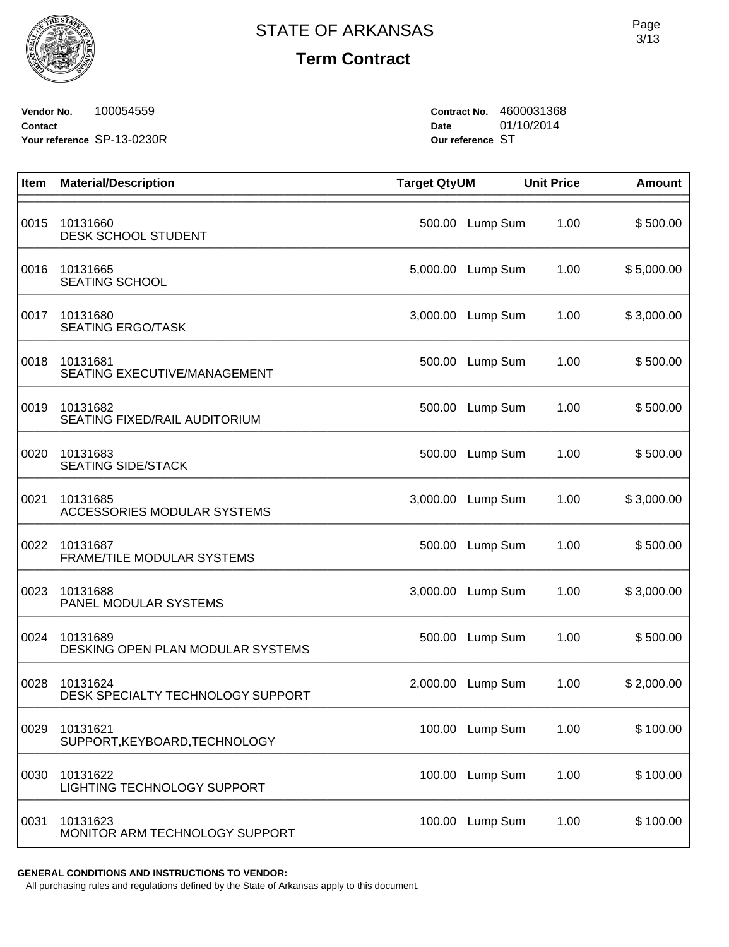**Term Contract**

**Vendor No.** 100054559 **Contact Your reference** SP-13-0230R **Contract No.** 4600031368 **Date** 01/10/2014 **Our reference** ST

| Item | <b>Material/Description</b>                    | <b>Target QtyUM</b> |                 | <b>Unit Price</b> | <b>Amount</b> |
|------|------------------------------------------------|---------------------|-----------------|-------------------|---------------|
| 0015 | 10131660<br><b>DESK SCHOOL STUDENT</b>         | 500.00              | Lump Sum        | 1.00              | \$500.00      |
| 0016 | 10131665<br><b>SEATING SCHOOL</b>              | 5,000.00            | Lump Sum        | 1.00              | \$5,000.00    |
| 0017 | 10131680<br><b>SEATING ERGO/TASK</b>           | 3,000.00            | Lump Sum        | 1.00              | \$3,000.00    |
| 0018 | 10131681<br>SEATING EXECUTIVE/MANAGEMENT       |                     | 500.00 Lump Sum | 1.00              | \$500.00      |
| 0019 | 10131682<br>SEATING FIXED/RAIL AUDITORIUM      | 500.00              | Lump Sum        | 1.00              | \$500.00      |
| 0020 | 10131683<br><b>SEATING SIDE/STACK</b>          | 500.00              | Lump Sum        | 1.00              | \$500.00      |
| 0021 | 10131685<br><b>ACCESSORIES MODULAR SYSTEMS</b> | 3,000.00            | Lump Sum        | 1.00              | \$3,000.00    |
| 0022 | 10131687<br>FRAME/TILE MODULAR SYSTEMS         | 500.00              | Lump Sum        | 1.00              | \$500.00      |
| 0023 | 10131688<br>PANEL MODULAR SYSTEMS              | 3,000.00            | Lump Sum        | 1.00              | \$3,000.00    |
| 0024 | 10131689<br>DESKING OPEN PLAN MODULAR SYSTEMS  | 500.00              | Lump Sum        | 1.00              | \$500.00      |
| 0028 | 10131624<br>DESK SPECIALTY TECHNOLOGY SUPPORT  | 2,000.00            | Lump Sum        | 1.00              | \$2,000.00    |
| 0029 | 10131621<br>SUPPORT, KEYBOARD, TECHNOLOGY      |                     | 100.00 Lump Sum | 1.00              | \$100.00      |
| 0030 | 10131622<br>LIGHTING TECHNOLOGY SUPPORT        |                     | 100.00 Lump Sum | 1.00              | \$100.00      |
| 0031 | 10131623<br>MONITOR ARM TECHNOLOGY SUPPORT     |                     | 100.00 Lump Sum | 1.00              | \$100.00      |

**GENERAL CONDITIONS AND INSTRUCTIONS TO VENDOR:**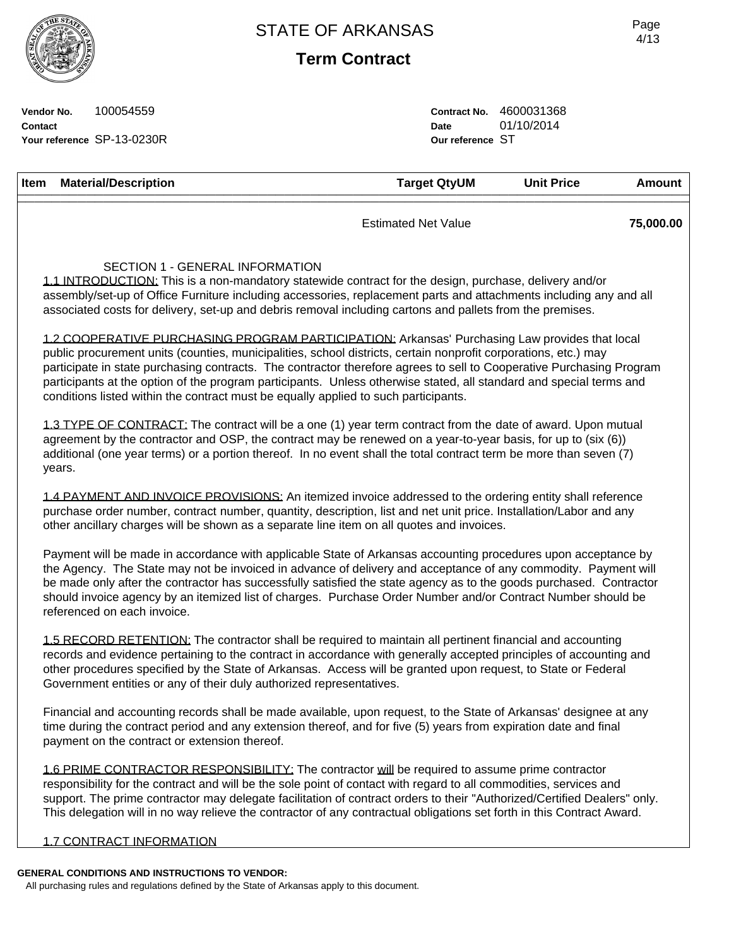**Term Contract**

Page 4/13

**Vendor No.** 100054559 **Contact Your reference** SP-13-0230R **Contract No.** 4600031368<br>Date 01/10/2014 **Date** 01/10/2014 **Our reference** ST

| Item | <b>Material/Description</b>                                                                                                                                                                                                                                                                                                                                                                                                                                                                                                                             | <b>Target QtyUM</b>        | <b>Unit Price</b> | <b>Amount</b> |
|------|---------------------------------------------------------------------------------------------------------------------------------------------------------------------------------------------------------------------------------------------------------------------------------------------------------------------------------------------------------------------------------------------------------------------------------------------------------------------------------------------------------------------------------------------------------|----------------------------|-------------------|---------------|
|      |                                                                                                                                                                                                                                                                                                                                                                                                                                                                                                                                                         | <b>Estimated Net Value</b> |                   | 75,000.00     |
|      | SECTION 1 - GENERAL INFORMATION<br>1.1 INTRODUCTION: This is a non-mandatory statewide contract for the design, purchase, delivery and/or<br>assembly/set-up of Office Furniture including accessories, replacement parts and attachments including any and all<br>associated costs for delivery, set-up and debris removal including cartons and pallets from the premises.                                                                                                                                                                            |                            |                   |               |
|      | 1.2 COOPERATIVE PURCHASING PROGRAM PARTICIPATION: Arkansas' Purchasing Law provides that local<br>public procurement units (counties, municipalities, school districts, certain nonprofit corporations, etc.) may<br>participate in state purchasing contracts. The contractor therefore agrees to sell to Cooperative Purchasing Program<br>participants at the option of the program participants. Unless otherwise stated, all standard and special terms and<br>conditions listed within the contract must be equally applied to such participants. |                            |                   |               |
|      | 1.3 TYPE OF CONTRACT: The contract will be a one (1) year term contract from the date of award. Upon mutual<br>agreement by the contractor and OSP, the contract may be renewed on a year-to-year basis, for up to (six (6))<br>additional (one year terms) or a portion thereof. In no event shall the total contract term be more than seven (7)<br>years.                                                                                                                                                                                            |                            |                   |               |
|      | 1.4 PAYMENT AND INVOICE PROVISIONS: An itemized invoice addressed to the ordering entity shall reference<br>purchase order number, contract number, quantity, description, list and net unit price. Installation/Labor and any<br>other ancillary charges will be shown as a separate line item on all quotes and invoices.                                                                                                                                                                                                                             |                            |                   |               |
|      | Payment will be made in accordance with applicable State of Arkansas accounting procedures upon acceptance by<br>the Agency. The State may not be invoiced in advance of delivery and acceptance of any commodity. Payment will<br>be made only after the contractor has successfully satisfied the state agency as to the goods purchased. Contractor<br>should invoice agency by an itemized list of charges. Purchase Order Number and/or Contract Number should be<br>referenced on each invoice.                                                   |                            |                   |               |
|      | 1.5 RECORD RETENTION: The contractor shall be required to maintain all pertinent financial and accounting<br>records and evidence pertaining to the contract in accordance with generally accepted principles of accounting and<br>other procedures specified by the State of Arkansas. Access will be granted upon request, to State or Federal<br>Government entities or any of their duly authorized representatives.                                                                                                                                |                            |                   |               |
|      | Financial and accounting records shall be made available, upon request, to the State of Arkansas' designee at any<br>time during the contract period and any extension thereof, and for five (5) years from expiration date and final<br>payment on the contract or extension thereof.                                                                                                                                                                                                                                                                  |                            |                   |               |
|      | 1.6 PRIME CONTRACTOR RESPONSIBILITY: The contractor will be required to assume prime contractor<br>responsibility for the contract and will be the sole point of contact with regard to all commodities, services and<br>support. The prime contractor may delegate facilitation of contract orders to their "Authorized/Certified Dealers" only.<br>This delegation will in no way relieve the contractor of any contractual obligations set forth in this Contract Award.                                                                             |                            |                   |               |
|      | 1.7 CONTRACT INFORMATION                                                                                                                                                                                                                                                                                                                                                                                                                                                                                                                                |                            |                   |               |
|      | GENERAL CONDITIONS AND INSTRUCTIONS TO VENDOR:                                                                                                                                                                                                                                                                                                                                                                                                                                                                                                          |                            |                   |               |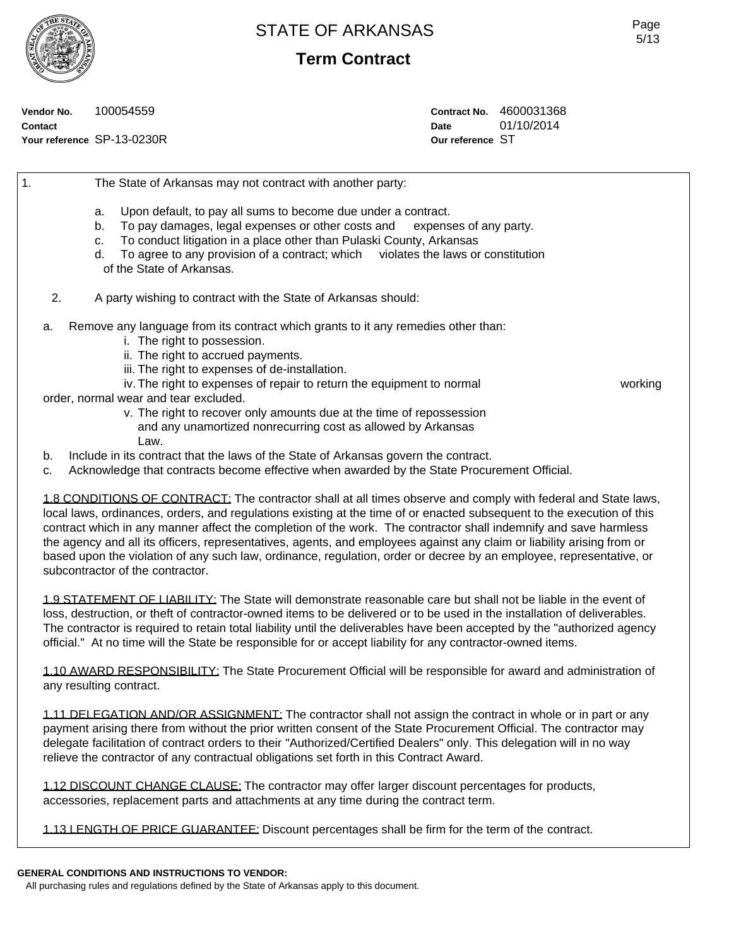**Term Contract**

**Vendor No.** 100054559 **Contact Your reference** SP-13-0230R **Contract No.** 4600031368 **Date** 01/10/2014 **Our reference** ST

1. The State of Arkansas may not contract with another party: a. Upon default, to pay all sums to become due under a contract. b. To pay damages, legal expenses or other costs and expenses of any party. c. To conduct litigation in a place other than Pulaski County, Arkansas d. To agree to any provision of a contract; which violates the laws or constitution of the State of Arkansas. 2. A party wishing to contract with the State of Arkansas should: a. Remove any language from its contract which grants to it any remedies other than: i. The right to possession. ii. The right to accrued payments. iii. The right to expenses of de-installation. iv. The right to expenses of repair to return the equipment to normal working order, normal wear and tear excluded. v. The right to recover only amounts due at the time of repossession and any unamortized nonrecurring cost as allowed by Arkansas Law. b. Include in its contract that the laws of the State of Arkansas govern the contract. c. Acknowledge that contracts become effective when awarded by the State Procurement Official.

1.8 CONDITIONS OF CONTRACT: The contractor shall at all times observe and comply with federal and State laws, local laws, ordinances, orders, and regulations existing at the time of or enacted subsequent to the execution of this contract which in any manner affect the completion of the work. The contractor shall indemnify and save harmless the agency and all its officers, representatives, agents, and employees against any claim or liability arising from or based upon the violation of any such law, ordinance, regulation, order or decree by an employee, representative, or subcontractor of the contractor.

1.9 STATEMENT OF LIABILITY: The State will demonstrate reasonable care but shall not be liable in the event of loss, destruction, or theft of contractor-owned items to be delivered or to be used in the installation of deliverables. The contractor is required to retain total liability until the deliverables have been accepted by the "authorized agency official." At no time will the State be responsible for or accept liability for any contractor-owned items.

1.10 AWARD RESPONSIBILITY: The State Procurement Official will be responsible for award and administration of any resulting contract.

1.11 DELEGATION AND/OR ASSIGNMENT: The contractor shall not assign the contract in whole or in part or any payment arising there from without the prior written consent of the State Procurement Official. The contractor may delegate facilitation of contract orders to their "Authorized/Certified Dealers" only. This delegation will in no way relieve the contractor of any contractual obligations set forth in this Contract Award.

1.12 DISCOUNT CHANGE CLAUSE: The contractor may offer larger discount percentages for products, accessories, replacement parts and attachments at any time during the contract term.

1.13 LENGTH OF PRICE GUARANTEE: Discount percentages shall be firm for the term of the contract.

### **GENERAL CONDITIONS AND INSTRUCTIONS TO VENDOR:**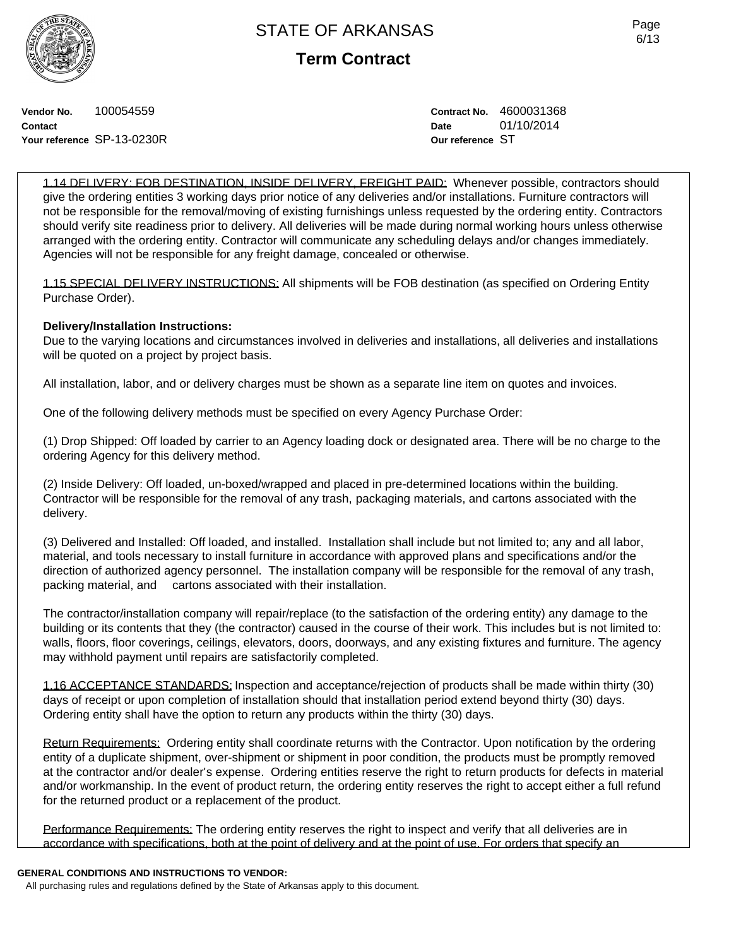**Term Contract**

**Vendor No.** 100054559 **Contact Your reference** SP-13-0230R **Contract No.** 4600031368 **Date** 01/10/2014 **Our reference** ST

1.14 DELIVERY: FOB DESTINATION, INSIDE DELIVERY, FREIGHT PAID: Whenever possible, contractors should give the ordering entities 3 working days prior notice of any deliveries and/or installations. Furniture contractors will not be responsible for the removal/moving of existing furnishings unless requested by the ordering entity. Contractors should verify site readiness prior to delivery. All deliveries will be made during normal working hours unless otherwise arranged with the ordering entity. Contractor will communicate any scheduling delays and/or changes immediately. Agencies will not be responsible for any freight damage, concealed or otherwise.

1.15 SPECIAL DELIVERY INSTRUCTIONS: All shipments will be FOB destination (as specified on Ordering Entity Purchase Order).

## **Delivery/Installation Instructions:**

Due to the varying locations and circumstances involved in deliveries and installations, all deliveries and installations will be quoted on a project by project basis.

All installation, labor, and or delivery charges must be shown as a separate line item on quotes and invoices.

One of the following delivery methods must be specified on every Agency Purchase Order:

(1) Drop Shipped: Off loaded by carrier to an Agency loading dock or designated area. There will be no charge to the ordering Agency for this delivery method.

(2) Inside Delivery: Off loaded, un-boxed/wrapped and placed in pre-determined locations within the building. Contractor will be responsible for the removal of any trash, packaging materials, and cartons associated with the delivery.

(3) Delivered and Installed: Off loaded, and installed. Installation shall include but not limited to; any and all labor, material, and tools necessary to install furniture in accordance with approved plans and specifications and/or the direction of authorized agency personnel. The installation company will be responsible for the removal of any trash, packing material, and cartons associated with their installation.

The contractor/installation company will repair/replace (to the satisfaction of the ordering entity) any damage to the building or its contents that they (the contractor) caused in the course of their work. This includes but is not limited to: walls, floors, floor coverings, ceilings, elevators, doors, doorways, and any existing fixtures and furniture. The agency may withhold payment until repairs are satisfactorily completed.

1.16 ACCEPTANCE STANDARDS: Inspection and acceptance/rejection of products shall be made within thirty (30) days of receipt or upon completion of installation should that installation period extend beyond thirty (30) days. Ordering entity shall have the option to return any products within the thirty (30) days.

Return Requirements: Ordering entity shall coordinate returns with the Contractor. Upon notification by the ordering entity of a duplicate shipment, over-shipment or shipment in poor condition, the products must be promptly removed at the contractor and/or dealer's expense. Ordering entities reserve the right to return products for defects in material and/or workmanship. In the event of product return, the ordering entity reserves the right to accept either a full refund for the returned product or a replacement of the product.

Performance Requirements: The ordering entity reserves the right to inspect and verify that all deliveries are in accordance with specifications, both at the point of delivery and at the point of use. For orders that specify an

### **GENERAL CONDITIONS AND INSTRUCTIONS TO VENDOR:**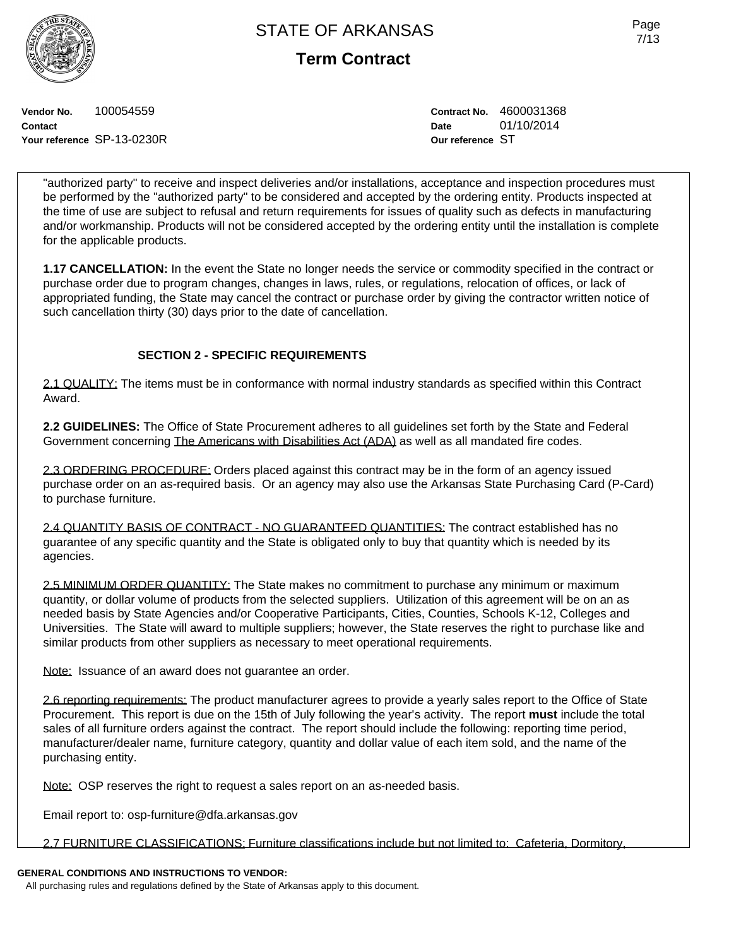**Term Contract**

**Vendor No.** 100054559 **Contact Your reference** SP-13-0230R **Contract No.** 4600031368 **Date** 01/10/2014 **Our reference** ST

"authorized party" to receive and inspect deliveries and/or installations, acceptance and inspection procedures must be performed by the "authorized party" to be considered and accepted by the ordering entity. Products inspected at the time of use are subject to refusal and return requirements for issues of quality such as defects in manufacturing and/or workmanship. Products will not be considered accepted by the ordering entity until the installation is complete for the applicable products.

**1.17 CANCELLATION:** In the event the State no longer needs the service or commodity specified in the contract or purchase order due to program changes, changes in laws, rules, or regulations, relocation of offices, or lack of appropriated funding, the State may cancel the contract or purchase order by giving the contractor written notice of such cancellation thirty (30) days prior to the date of cancellation.

## **SECTION 2 - SPECIFIC REQUIREMENTS**

2.1 QUALITY: The items must be in conformance with normal industry standards as specified within this Contract Award.

**2.2 GUIDELINES:** The Office of State Procurement adheres to all guidelines set forth by the State and Federal Government concerning The Americans with Disabilities Act (ADA) as well as all mandated fire codes.

2.3 ORDERING PROCEDURE: Orders placed against this contract may be in the form of an agency issued purchase order on an as-required basis. Or an agency may also use the Arkansas State Purchasing Card (P-Card) to purchase furniture.

2.4 QUANTITY BASIS OF CONTRACT - NO GUARANTEED QUANTITIES: The contract established has no guarantee of any specific quantity and the State is obligated only to buy that quantity which is needed by its agencies.

2.5 MINIMUM ORDER QUANTITY: The State makes no commitment to purchase any minimum or maximum quantity, or dollar volume of products from the selected suppliers. Utilization of this agreement will be on an as needed basis by State Agencies and/or Cooperative Participants, Cities, Counties, Schools K-12, Colleges and Universities. The State will award to multiple suppliers; however, the State reserves the right to purchase like and similar products from other suppliers as necessary to meet operational requirements.

Note: Issuance of an award does not guarantee an order.

2.6 reporting requirements: The product manufacturer agrees to provide a yearly sales report to the Office of State Procurement. This report is due on the 15th of July following the year's activity. The report **must** include the total sales of all furniture orders against the contract. The report should include the following: reporting time period, manufacturer/dealer name, furniture category, quantity and dollar value of each item sold, and the name of the purchasing entity.

Note: OSP reserves the right to request a sales report on an as-needed basis.

Email report to: osp-furniture@dfa.arkansas.gov

2.7 FURNITURE CLASSIFICATIONS: Furniture classifications include but not limited to: Cafeteria, Dormitory,

## **GENERAL CONDITIONS AND INSTRUCTIONS TO VENDOR:**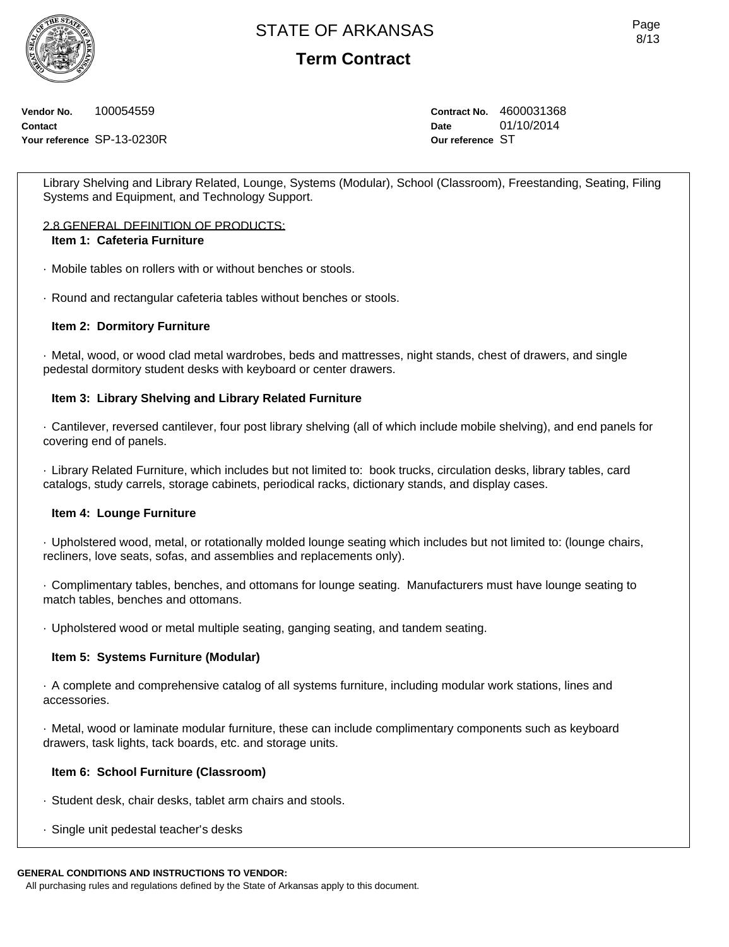**Term Contract**

**Vendor No.** 100054559 **Contact Your reference** SP-13-0230R **Contract No.** 4600031368 **Date** 01/10/2014 **Our reference** ST

Library Shelving and Library Related, Lounge, Systems (Modular), School (Classroom), Freestanding, Seating, Filing Systems and Equipment, and Technology Support.

### 2.8 GENERAL DEFINITION OF PRODUCTS: **Item 1: Cafeteria Furniture**

· Mobile tables on rollers with or without benches or stools.

· Round and rectangular cafeteria tables without benches or stools.

## **Item 2: Dormitory Furniture**

· Metal, wood, or wood clad metal wardrobes, beds and mattresses, night stands, chest of drawers, and single pedestal dormitory student desks with keyboard or center drawers.

## **Item 3: Library Shelving and Library Related Furniture**

· Cantilever, reversed cantilever, four post library shelving (all of which include mobile shelving), and end panels for covering end of panels.

· Library Related Furniture, which includes but not limited to: book trucks, circulation desks, library tables, card catalogs, study carrels, storage cabinets, periodical racks, dictionary stands, and display cases.

## **Item 4: Lounge Furniture**

· Upholstered wood, metal, or rotationally molded lounge seating which includes but not limited to: (lounge chairs, recliners, love seats, sofas, and assemblies and replacements only).

· Complimentary tables, benches, and ottomans for lounge seating. Manufacturers must have lounge seating to match tables, benches and ottomans.

· Upholstered wood or metal multiple seating, ganging seating, and tandem seating.

## **Item 5: Systems Furniture (Modular)**

· A complete and comprehensive catalog of all systems furniture, including modular work stations, lines and accessories.

· Metal, wood or laminate modular furniture, these can include complimentary components such as keyboard drawers, task lights, tack boards, etc. and storage units.

## **Item 6: School Furniture (Classroom)**

- · Student desk, chair desks, tablet arm chairs and stools.
- · Single unit pedestal teacher's desks

### **GENERAL CONDITIONS AND INSTRUCTIONS TO VENDOR:**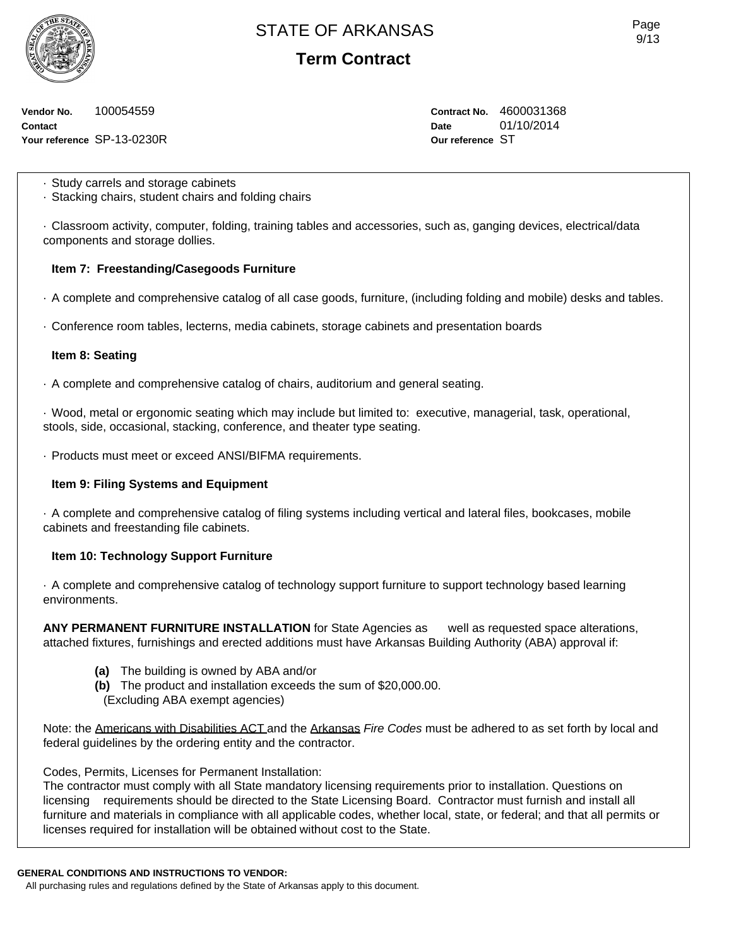**Term Contract**

**Vendor No.** 100054559 **Contact Your reference** SP-13-0230R **Contract No.** 4600031368 **Date** 01/10/2014 **Our reference** ST

· Study carrels and storage cabinets

· Stacking chairs, student chairs and folding chairs

· Classroom activity, computer, folding, training tables and accessories, such as, ganging devices, electrical/data components and storage dollies.

## **Item 7: Freestanding/Casegoods Furniture**

- · A complete and comprehensive catalog of all case goods, furniture, (including folding and mobile) desks and tables.
- · Conference room tables, lecterns, media cabinets, storage cabinets and presentation boards

## **Item 8: Seating**

· A complete and comprehensive catalog of chairs, auditorium and general seating.

· Wood, metal or ergonomic seating which may include but limited to: executive, managerial, task, operational, stools, side, occasional, stacking, conference, and theater type seating.

· Products must meet or exceed ANSI/BIFMA requirements.

## **Item 9: Filing Systems and Equipment**

· A complete and comprehensive catalog of filing systems including vertical and lateral files, bookcases, mobile cabinets and freestanding file cabinets.

## **Item 10: Technology Support Furniture**

· A complete and comprehensive catalog of technology support furniture to support technology based learning environments.

**ANY PERMANENT FURNITURE INSTALLATION** for State Agencies as well as requested space alterations, attached fixtures, furnishings and erected additions must have Arkansas Building Authority (ABA) approval if:

- **(a)** The building is owned by ABA and/or
- **(b)** The product and installation exceeds the sum of \$20,000.00.

(Excluding ABA exempt agencies)

Note: the Americans with Disabilities ACT and the Arkansas *Fire Codes* must be adhered to as set forth by local and federal guidelines by the ordering entity and the contractor.

Codes, Permits, Licenses for Permanent Installation:

The contractor must comply with all State mandatory licensing requirements prior to installation. Questions on licensing requirements should be directed to the State Licensing Board. Contractor must furnish and install all furniture and materials in compliance with all applicable codes, whether local, state, or federal; and that all permits or licenses required for installation will be obtained without cost to the State.

### **GENERAL CONDITIONS AND INSTRUCTIONS TO VENDOR:**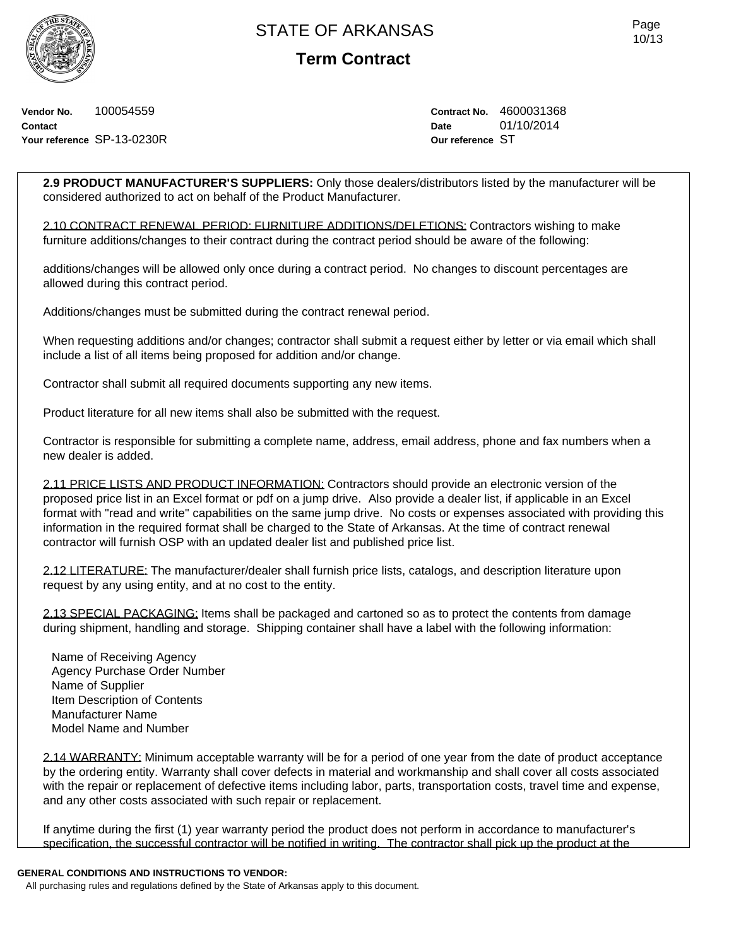**Term Contract**

Page 10/13

**Vendor No.** 100054559 **Contact Your reference** SP-13-0230R **Contract No.** 4600031368 **Date** 01/10/2014 **Our reference** ST

**2.9 PRODUCT MANUFACTURER'S SUPPLIERS:** Only those dealers/distributors listed by the manufacturer will be considered authorized to act on behalf of the Product Manufacturer.

2.10 CONTRACT RENEWAL PERIOD: FURNITURE ADDITIONS/DELETIONS: Contractors wishing to make furniture additions/changes to their contract during the contract period should be aware of the following:

additions/changes will be allowed only once during a contract period. No changes to discount percentages are allowed during this contract period.

Additions/changes must be submitted during the contract renewal period.

When requesting additions and/or changes; contractor shall submit a request either by letter or via email which shall include a list of all items being proposed for addition and/or change.

Contractor shall submit all required documents supporting any new items.

Product literature for all new items shall also be submitted with the request.

Contractor is responsible for submitting a complete name, address, email address, phone and fax numbers when a new dealer is added.

2.11 PRICE LISTS AND PRODUCT INFORMATION: Contractors should provide an electronic version of the proposed price list in an Excel format or pdf on a jump drive. Also provide a dealer list, if applicable in an Excel format with "read and write" capabilities on the same jump drive. No costs or expenses associated with providing this information in the required format shall be charged to the State of Arkansas. At the time of contract renewal contractor will furnish OSP with an updated dealer list and published price list.

2.12 LITERATURE: The manufacturer/dealer shall furnish price lists, catalogs, and description literature upon request by any using entity, and at no cost to the entity.

2.13 SPECIAL PACKAGING: Items shall be packaged and cartoned so as to protect the contents from damage during shipment, handling and storage. Shipping container shall have a label with the following information:

Name of Receiving Agency Agency Purchase Order Number Name of Supplier Item Description of Contents Manufacturer Name Model Name and Number

2.14 WARRANTY: Minimum acceptable warranty will be for a period of one year from the date of product acceptance by the ordering entity. Warranty shall cover defects in material and workmanship and shall cover all costs associated with the repair or replacement of defective items including labor, parts, transportation costs, travel time and expense, and any other costs associated with such repair or replacement.

If anytime during the first (1) year warranty period the product does not perform in accordance to manufacturer's specification, the successful contractor will be notified in writing. The contractor shall pick up the product at the

### **GENERAL CONDITIONS AND INSTRUCTIONS TO VENDOR:**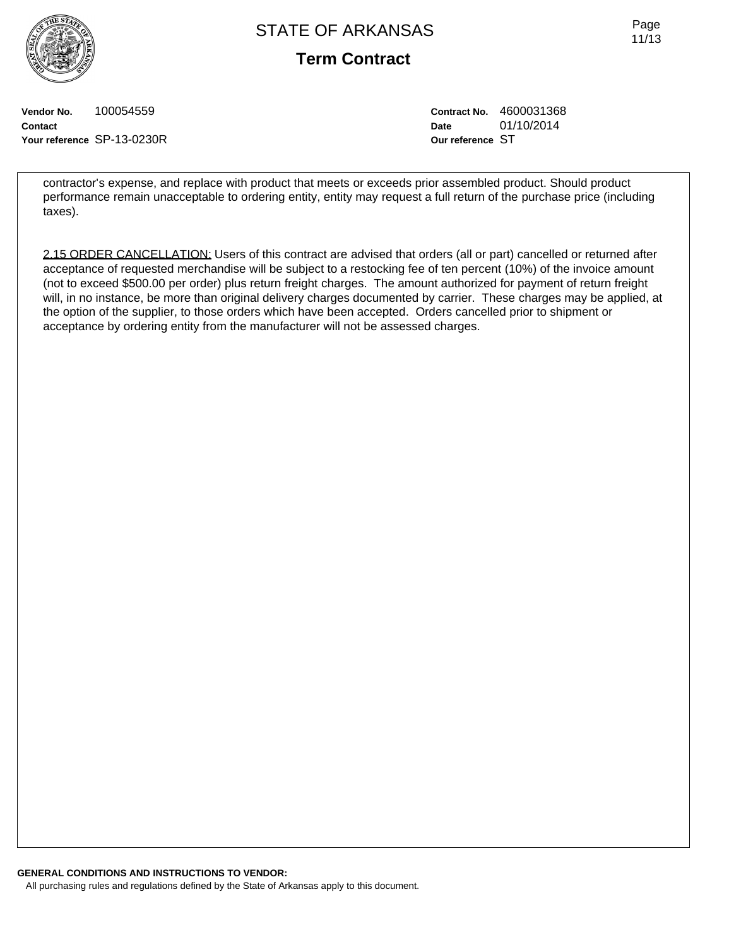**Term Contract**

Page 11/13

**Vendor No.** 100054559 **Contact Your reference** SP-13-0230R **Contract No.** 4600031368 **Date** 01/10/2014 **Our reference** ST

contractor's expense, and replace with product that meets or exceeds prior assembled product. Should product performance remain unacceptable to ordering entity, entity may request a full return of the purchase price (including taxes).

2.15 ORDER CANCELLATION: Users of this contract are advised that orders (all or part) cancelled or returned after acceptance of requested merchandise will be subject to a restocking fee of ten percent (10%) of the invoice amount (not to exceed \$500.00 per order) plus return freight charges. The amount authorized for payment of return freight will, in no instance, be more than original delivery charges documented by carrier. These charges may be applied, at the option of the supplier, to those orders which have been accepted. Orders cancelled prior to shipment or acceptance by ordering entity from the manufacturer will not be assessed charges.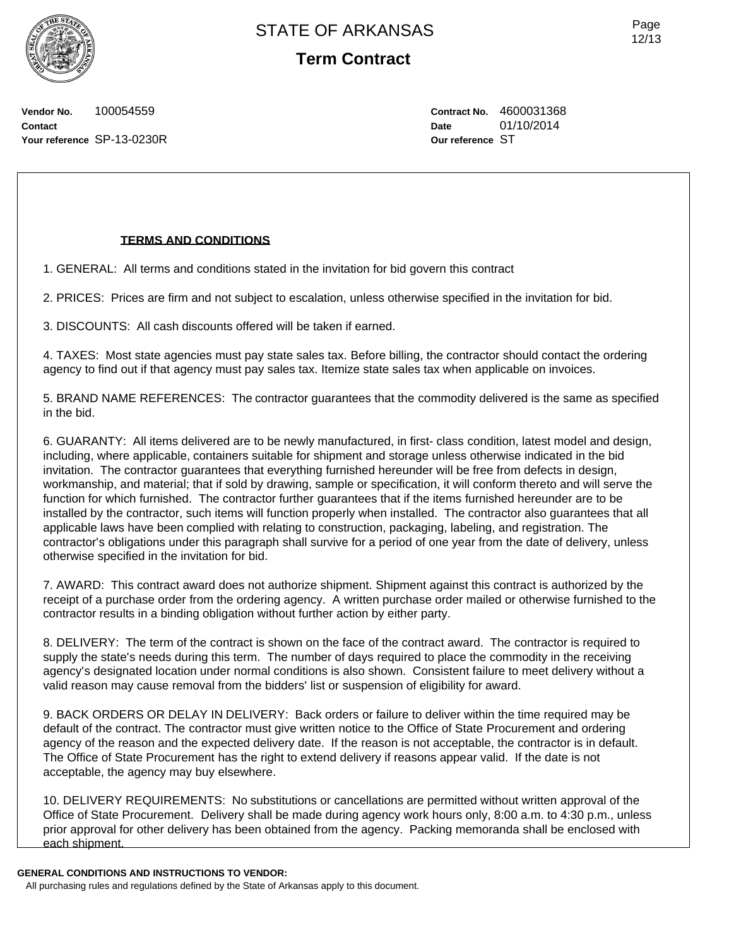**Term Contract**

Page 12/13

**Vendor No.** 100054559 **Contact Your reference** SP-13-0230R **Contract No.** 4600031368 **Date** 01/10/2014 **Our reference** ST

## **TERMS AND CONDITIONS**

1. GENERAL: All terms and conditions stated in the invitation for bid govern this contract

2. PRICES: Prices are firm and not subject to escalation, unless otherwise specified in the invitation for bid.

3. DISCOUNTS: All cash discounts offered will be taken if earned.

4. TAXES: Most state agencies must pay state sales tax. Before billing, the contractor should contact the ordering agency to find out if that agency must pay sales tax. Itemize state sales tax when applicable on invoices.

5. BRAND NAME REFERENCES: The contractor guarantees that the commodity delivered is the same as specified in the bid.

6. GUARANTY: All items delivered are to be newly manufactured, in first- class condition, latest model and design, including, where applicable, containers suitable for shipment and storage unless otherwise indicated in the bid invitation. The contractor guarantees that everything furnished hereunder will be free from defects in design, workmanship, and material; that if sold by drawing, sample or specification, it will conform thereto and will serve the function for which furnished. The contractor further guarantees that if the items furnished hereunder are to be installed by the contractor, such items will function properly when installed. The contractor also guarantees that all applicable laws have been complied with relating to construction, packaging, labeling, and registration. The contractor's obligations under this paragraph shall survive for a period of one year from the date of delivery, unless otherwise specified in the invitation for bid.

7. AWARD: This contract award does not authorize shipment. Shipment against this contract is authorized by the receipt of a purchase order from the ordering agency. A written purchase order mailed or otherwise furnished to the contractor results in a binding obligation without further action by either party.

8. DELIVERY: The term of the contract is shown on the face of the contract award. The contractor is required to supply the state's needs during this term. The number of days required to place the commodity in the receiving agency's designated location under normal conditions is also shown. Consistent failure to meet delivery without a valid reason may cause removal from the bidders' list or suspension of eligibility for award.

9. BACK ORDERS OR DELAY IN DELIVERY: Back orders or failure to deliver within the time required may be default of the contract. The contractor must give written notice to the Office of State Procurement and ordering agency of the reason and the expected delivery date. If the reason is not acceptable, the contractor is in default. The Office of State Procurement has the right to extend delivery if reasons appear valid. If the date is not acceptable, the agency may buy elsewhere.

10. DELIVERY REQUIREMENTS: No substitutions or cancellations are permitted without written approval of the Office of State Procurement. Delivery shall be made during agency work hours only, 8:00 a.m. to 4:30 p.m., unless prior approval for other delivery has been obtained from the agency. Packing memoranda shall be enclosed with each shipment.

**GENERAL CONDITIONS AND INSTRUCTIONS TO VENDOR:**